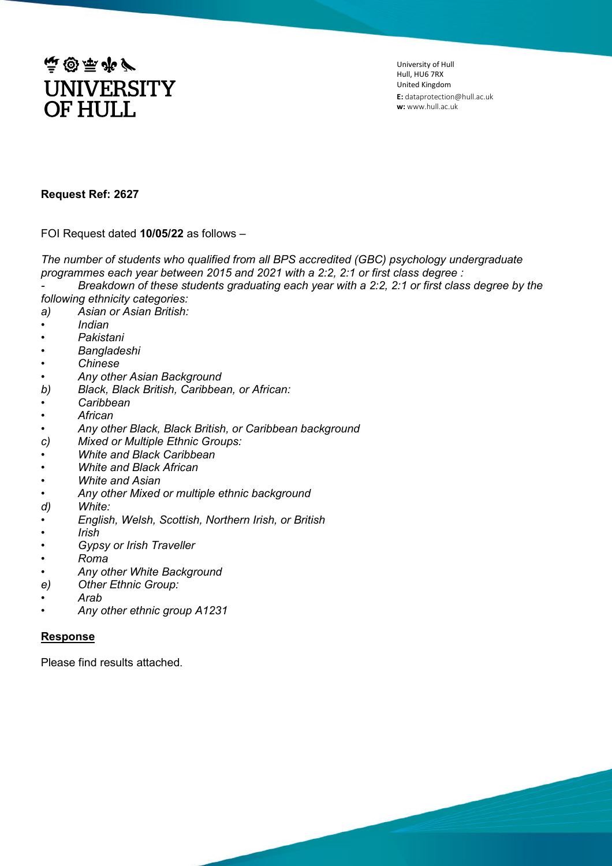

University of Hull Hull, HU6 7RX United Kingdom **E:** dataprotection@hull.ac.uk **w:** www.hull.ac.uk

## **Request Ref: 2627**

FOI Request dated **10/05/22** as follows –

*The number of students who qualified from all BPS accredited (GBC) psychology undergraduate programmes each year between 2015 and 2021 with a 2:2, 2:1 or first class degree :* 

*- Breakdown of these students graduating each year with a 2:2, 2:1 or first class degree by the following ethnicity categories:*

- *a) Asian or Asian British:*
- *• Indian*
- *• Pakistani*
- *• Bangladeshi*
- *• Chinese*
- 
- *• Any other Asian Background b) Black, Black British, Caribbean, or African:*
- *• Caribbean*
- *• African*
- *• Any other Black, Black British, or Caribbean background*
- *c) Mixed or Multiple Ethnic Groups:*
- *• White and Black Caribbean*
- *• White and Black African*
- *• White and Asian*
- *• Any other Mixed or multiple ethnic background*
- *d) White:*
- *• English, Welsh, Scottish, Northern Irish, or British*
- *• Irish*
- *• Gypsy or Irish Traveller*
- *• Roma*
- *• Any other White Background*
- *e) Other Ethnic Group:*
- *• Arab*
- *• Any other ethnic group A1231*

## **Response**

Please find results attached.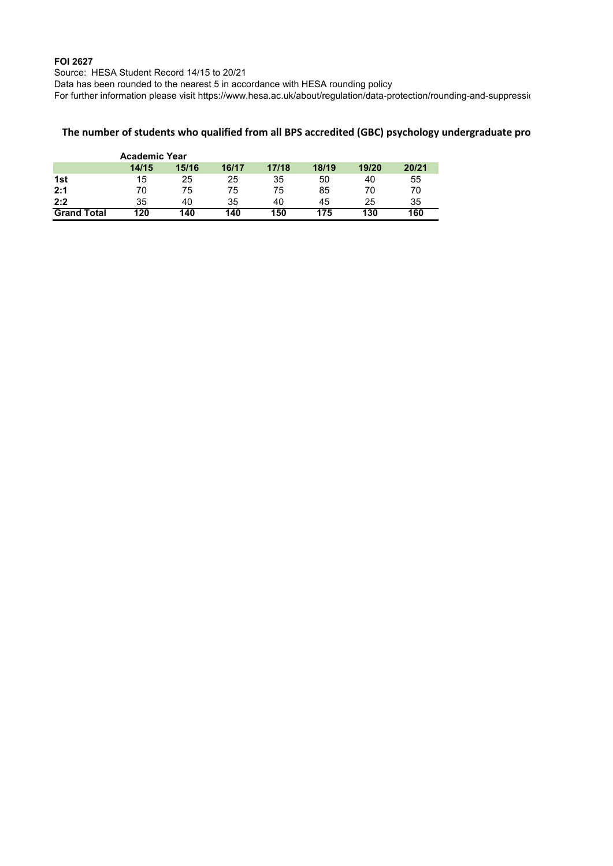## **FOI 2627**

Source: HESA Student Record 14/15 to 20/21

Data has been rounded to the nearest 5 in accordance with HESA rounding policy

For further information please visit https://www.hesa.ac.uk/about/regulation/data-protection/rounding-and-suppression/

## **The number of students who qualified from all BPS accredited (GBC) psychology undergraduate pro**

|                    | <b>Academic Year</b> |       |       |       |       |       |       |
|--------------------|----------------------|-------|-------|-------|-------|-------|-------|
|                    | 14/15                | 15/16 | 16/17 | 17/18 | 18/19 | 19/20 | 20/21 |
| 1st                | 15                   | 25    | 25    | 35    | 50    | 40    | 55    |
| 2:1                | 70                   | 75    | 75    | 75    | 85    | 70    | 70    |
| 2:2                | 35                   | 40    | 35    | 40    | 45    | 25    | 35    |
| <b>Grand Total</b> | 120                  | 140   | 140   | 150   | 175   | 130   | 160   |